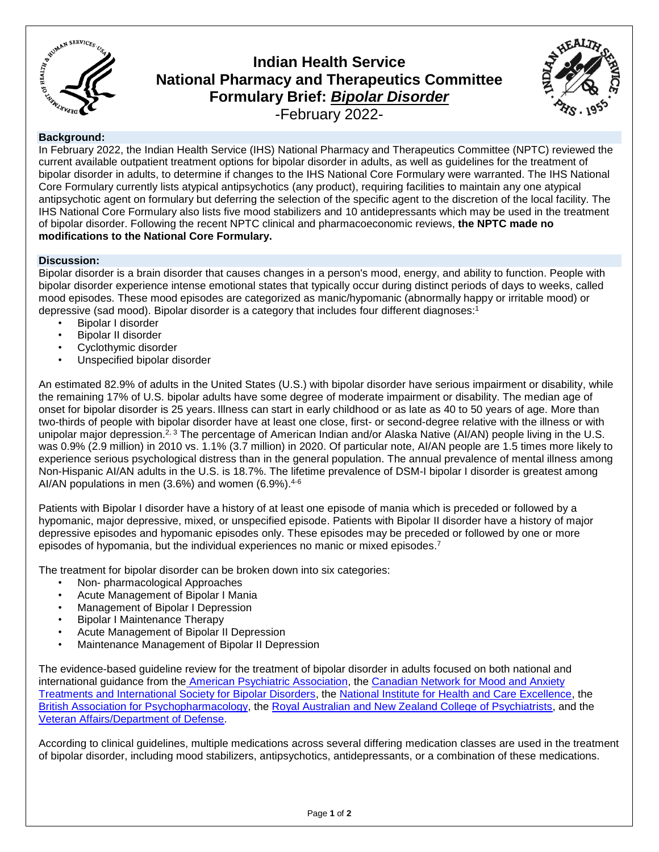

# **Indian Health Service National Pharmacy and Therapeutics Committee Formulary Brief:** *Bipolar Disorder* -February 2022-



## **Background:**

In February 2022, the Indian Health Service (IHS) National Pharmacy and Therapeutics Committee (NPTC) reviewed the current available outpatient treatment options for bipolar disorder in adults, as well as guidelines for the treatment of bipolar disorder in adults, to determine if changes to the IHS National Core Formulary were warranted. The IHS National Core Formulary currently lists atypical antipsychotics (any product), requiring facilities to maintain any one atypical antipsychotic agent on formulary but deferring the selection of the specific agent to the discretion of the local facility. The IHS National Core Formulary also lists five mood stabilizers and 10 antidepressants which may be used in the treatment of bipolar disorder. Following the recent NPTC clinical and pharmacoeconomic reviews, **the NPTC made no modifications to the National Core Formulary.**

### **Discussion:**

Bipolar disorder is a brain disorder that causes changes in a person's mood, energy, and ability to function. People with bipolar disorder experience intense emotional states that typically occur during distinct periods of days to weeks, called mood episodes. These mood episodes are categorized as manic/hypomanic (abnormally happy or irritable mood) or depressive (sad mood). Bipolar disorder is a category that includes four different diagnoses:<sup>1</sup>

- Bipolar I disorder
- Bipolar II disorder
- Cyclothymic disorder
- Unspecified bipolar disorder

An estimated 82.9% of adults in the United States (U.S.) with bipolar disorder have serious impairment or disability, while the remaining 17% of U.S. bipolar adults have some degree of moderate impairment or disability. The median age of onset for bipolar disorder is 25 years. Illness can start in early childhood or as late as 40 to 50 years of age. More than two-thirds of people with bipolar disorder have at least one close, first- or second-degree relative with the illness or with unipolar major depression.<sup>2, 3</sup> The percentage of American Indian and/or Alaska Native (AI/AN) people living in the U.S. was 0.9% (2.9 million) in 2010 vs. 1.1% (3.7 million) in 2020. Of particular note, AI/AN people are 1.5 times more likely to experience serious psychological distress than in the general population. The annual prevalence of mental illness among Non-Hispanic AI/AN adults in the U.S. is 18.7%. The lifetime prevalence of DSM-I bipolar I disorder is greatest among AI/AN populations in men  $(3.6%)$  and women  $(6.9%)$ .<sup>4-6</sup>

Patients with Bipolar I disorder have a history of at least one episode of mania which is preceded or followed by a hypomanic, major depressive, mixed, or unspecified episode. Patients with Bipolar II disorder have a history of major depressive episodes and hypomanic episodes only. These episodes may be preceded or followed by one or more episodes of hypomania, but the individual experiences no manic or mixed episodes.<sup>7</sup>

The treatment for bipolar disorder can be broken down into six categories:

- Non- pharmacological Approaches
- Acute Management of Bipolar I Mania
- Management of Bipolar I Depression
- Bipolar I Maintenance Therapy
- Acute Management of Bipolar II Depression
- Maintenance Management of Bipolar II Depression

The evidence-based guideline review for the treatment of bipolar disorder in adults focused on both national and international guidance from the American Psychiatric Association, the [Canadian Network for Mood and Anxiety](https://www.canmat.org/2019/03/27/2018-bipolar-guidelines)  Treatments and [International Society for Bipolar Disorders,](https://www.canmat.org/2019/03/27/2018-bipolar-guidelines) the [National Institute for Health and Care Excellence,](https://www.nice.org.uk/guidance/cg185) the [British Association for Psychopharmacology,](https://www.bap.org.uk/pdfs/BAP_Guidelines-Bipolar.pdf) the [Royal Australian and New Zealand College of Psychiatrists,](https://www.ranzcp.org/files/resources/college_statements/clinician/cpg/mood-disorders-cpg-2020.aspx) and the [Veteran Affairs/Department of Defense.](https://www.healthquality.va.gov/guidelines/MH/bd/bd_306_sum.pdf)

According to clinical guidelines, multiple medications across several differing medication classes are used in the treatment of bipolar disorder, including mood stabilizers, antipsychotics, antidepressants, or a combination of these medications.